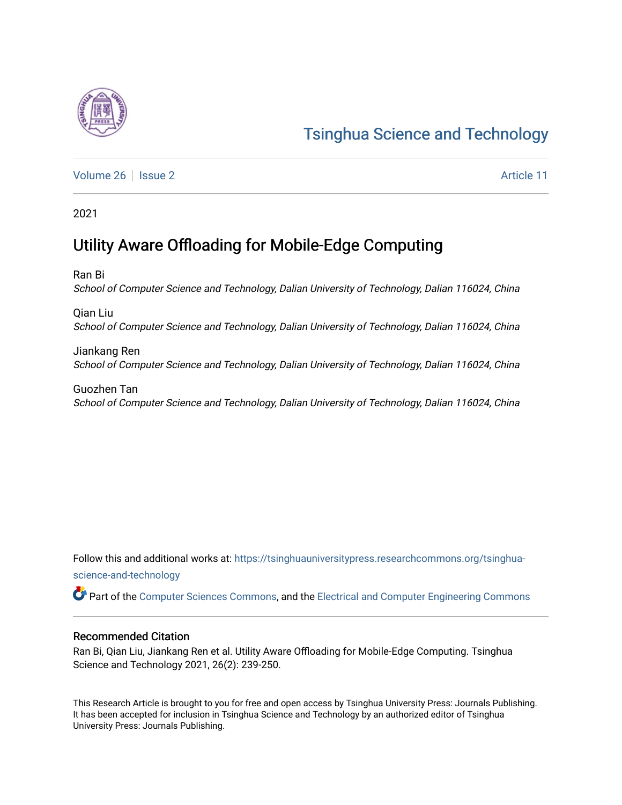# [Tsinghua Science and Technology](https://tsinghuauniversitypress.researchcommons.org/tsinghua-science-and-technology)

[Volume 26](https://tsinghuauniversitypress.researchcommons.org/tsinghua-science-and-technology/vol26) | [Issue 2](https://tsinghuauniversitypress.researchcommons.org/tsinghua-science-and-technology/vol26/iss2) Article 11

2021

## Utility Aware Offloading for Mobile-Edge Computing

Ran Bi School of Computer Science and Technology, Dalian University of Technology, Dalian 116024, China

Qian Liu School of Computer Science and Technology, Dalian University of Technology, Dalian 116024, China

Jiankang Ren School of Computer Science and Technology, Dalian University of Technology, Dalian 116024, China

Guozhen Tan School of Computer Science and Technology, Dalian University of Technology, Dalian 116024, China

Follow this and additional works at: [https://tsinghuauniversitypress.researchcommons.org/tsinghua](https://tsinghuauniversitypress.researchcommons.org/tsinghua-science-and-technology?utm_source=tsinghuauniversitypress.researchcommons.org%2Ftsinghua-science-and-technology%2Fvol26%2Fiss2%2F11&utm_medium=PDF&utm_campaign=PDFCoverPages)[science-and-technology](https://tsinghuauniversitypress.researchcommons.org/tsinghua-science-and-technology?utm_source=tsinghuauniversitypress.researchcommons.org%2Ftsinghua-science-and-technology%2Fvol26%2Fiss2%2F11&utm_medium=PDF&utm_campaign=PDFCoverPages)

Part of the [Computer Sciences Commons](http://network.bepress.com/hgg/discipline/142?utm_source=tsinghuauniversitypress.researchcommons.org%2Ftsinghua-science-and-technology%2Fvol26%2Fiss2%2F11&utm_medium=PDF&utm_campaign=PDFCoverPages), and the [Electrical and Computer Engineering Commons](http://network.bepress.com/hgg/discipline/266?utm_source=tsinghuauniversitypress.researchcommons.org%2Ftsinghua-science-and-technology%2Fvol26%2Fiss2%2F11&utm_medium=PDF&utm_campaign=PDFCoverPages)

## Recommended Citation

Ran Bi, Qian Liu, Jiankang Ren et al. Utility Aware Offloading for Mobile-Edge Computing. Tsinghua Science and Technology 2021, 26(2): 239-250.

This Research Article is brought to you for free and open access by Tsinghua University Press: Journals Publishing. It has been accepted for inclusion in Tsinghua Science and Technology by an authorized editor of Tsinghua University Press: Journals Publishing.

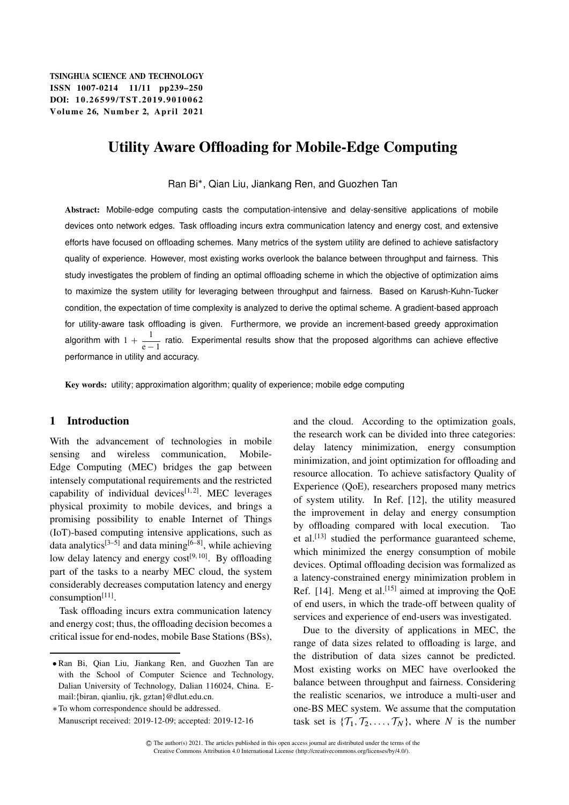## Utility Aware Offloading for Mobile-Edge Computing

Ran Bi , Qian Liu, Jiankang Ren, and Guozhen Tan

Abstract: Mobile-edge computing casts the computation-intensive and delay-sensitive applications of mobile devices onto network edges. Task offloading incurs extra communication latency and energy cost, and extensive efforts have focused on offloading schemes. Many metrics of the system utility are defined to achieve satisfactory quality of experience. However, most existing works overlook the balance between throughput and fairness. This study investigates the problem of finding an optimal offloading scheme in which the objective of optimization aims to maximize the system utility for leveraging between throughput and fairness. Based on Karush-Kuhn-Tucker condition, the expectation of time complexity is analyzed to derive the optimal scheme. A gradient-based approach for utility-aware task offloading is given. Furthermore, we provide an increment-based greedy approximation algorithm with 1 +  $\frac{1}{1}$  $\frac{1}{e-1}$  ratio. Experimental results show that the proposed algorithms can achieve effective performance in utility and accuracy.

Key words: utility; approximation algorithm; quality of experience; mobile edge computing

## 1 Introduction

With the advancement of technologies in mobile sensing and wireless communication, Mobile-Edge Computing (MEC) bridges the gap between intensely computational requirements and the restricted capability of individual devices<sup>[1,2]</sup>. MEC leverages physical proximity to mobile devices, and brings a promising possibility to enable Internet of Things (IoT)-based computing intensive applications, such as data analytics<sup>[3–5]</sup> and data mining<sup>[6–8]</sup>, while achieving low delay latency and energy  $cost^{[9, 10]}$ . By offloading part of the tasks to a nearby MEC cloud, the system considerably decreases computation latency and energy consumption[11].

Task offloading incurs extra communication latency and energy cost; thus, the offloading decision becomes a critical issue for end-nodes, mobile Base Stations (BSs),

To whom correspondence should be addressed. Manuscript received: 2019-12-09; accepted: 2019-12-16

and the cloud. According to the optimization goals, the research work can be divided into three categories: delay latency minimization, energy consumption minimization, and joint optimization for offloading and resource allocation. To achieve satisfactory Quality of Experience (QoE), researchers proposed many metrics of system utility. In Ref. [12], the utility measured the improvement in delay and energy consumption by offloading compared with local execution. Tao et al.[13] studied the performance guaranteed scheme, which minimized the energy consumption of mobile devices. Optimal offloading decision was formalized as a latency-constrained energy minimization problem in Ref. [14]. Meng et al.<sup>[15]</sup> aimed at improving the  $QoE$ of end users, in which the trade-off between quality of services and experience of end-users was investigated.

Due to the diversity of applications in MEC, the range of data sizes related to offloading is large, and the distribution of data sizes cannot be predicted. Most existing works on MEC have overlooked the balance between throughput and fairness. Considering the realistic scenarios, we introduce a multi-user and one-BS MEC system. We assume that the computation task set is  $\{T_1, T_2, \ldots, T_N\}$ , where N is the number

Ran Bi, Qian Liu, Jiankang Ren, and Guozhen Tan are with the School of Computer Science and Technology, Dalian University of Technology, Dalian 116024, China. Email:{biran, qianliu, rjk, gztan}@dlut.edu.cn.

C The author(s) 2021. The articles published in this open access journal are distributed under the terms of the Creative Commons Attribution 4.0 International License (http://creativecommons.org/licenses/by/4.0/).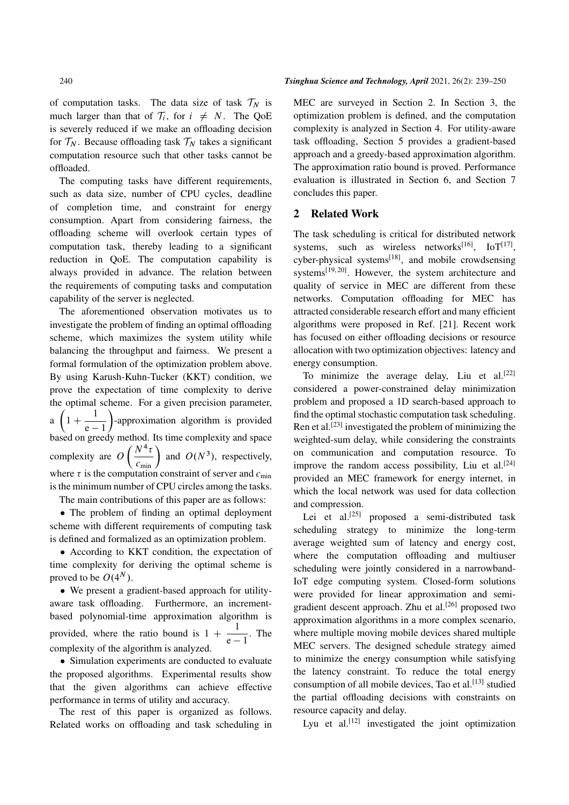of computation tasks. The data size of task  $\mathcal{T}_N$  is much larger than that of  $\mathcal{T}_i$ , for  $i \neq N$ . The QoE is severely reduced if we make an offloading decision for  $\mathcal{T}_N$ . Because offloading task  $\mathcal{T}_N$  takes a significant computation resource such that other tasks cannot be offloaded.

The computing tasks have different requirements, such as data size, number of CPU cycles, deadline of completion time, and constraint for energy consumption. Apart from considering fairness, the offloading scheme will overlook certain types of computation task, thereby leading to a significant reduction in QoE. The computation capability is always provided in advance. The relation between the requirements of computing tasks and computation capability of the server is neglected.

The aforementioned observation motivates us to investigate the problem of finding an optimal offloading scheme, which maximizes the system utility while balancing the throughput and fairness. We present a formal formulation of the optimization problem above. By using Karush-Kuhn-Tucker (KKT) condition, we prove the expectation of time complexity to derive the optimal scheme. For a given precision parameter, a  $\left(1+\frac{1}{\cdots}\right)$  $\overline{e-1}$  -approximation algorithm is provided based on greedy method. Its time complexity and space complexity are  $O\left(\frac{N^4 \tau}{c_{\text{min}}}\right)$  and  $O(N^3)$ , respectively, where  $\tau$  is the computation constraint of server and  $c_{\min}$ is the minimum number of CPU circles among the tasks. The main contributions of this paper are as follows:

The problem of finding an optimal deployment

scheme with different requirements of computing task is defined and formalized as an optimization problem.

 According to KKT condition, the expectation of time complexity for deriving the optimal scheme is proved to be  $O(4^N)$ .

 We present a gradient-based approach for utilityaware task offloading. Furthermore, an incrementbased polynomial-time approximation algorithm is provided, where the ratio bound is  $1 + \frac{1}{\cdots}$  $\frac{1}{e-1}$ . The complexity of the algorithm is analyzed.

 Simulation experiments are conducted to evaluate the proposed algorithms. Experimental results show that the given algorithms can achieve effective performance in terms of utility and accuracy.

The rest of this paper is organized as follows. Related works on offloading and task scheduling in MEC are surveyed in Section 2. In Section 3, the optimization problem is defined, and the computation complexity is analyzed in Section 4. For utility-aware task offloading, Section 5 provides a gradient-based approach and a greedy-based approximation algorithm. The approximation ratio bound is proved. Performance evaluation is illustrated in Section 6, and Section 7 concludes this paper.

## 2 Related Work

The task scheduling is critical for distributed network systems, such as wireless networks<sup>[16]</sup>,  $IoT^{[17]}$ ,  $cyber-physical$  systems<sup>[18]</sup>, and mobile crowdsensing systems[19, 20]. However, the system architecture and quality of service in MEC are different from these networks. Computation offloading for MEC has attracted considerable research effort and many efficient algorithms were proposed in Ref. [21]. Recent work has focused on either offloading decisions or resource allocation with two optimization objectives: latency and energy consumption.

To minimize the average delay, Liu et al.<sup>[22]</sup> considered a power-constrained delay minimization problem and proposed a 1D search-based approach to find the optimal stochastic computation task scheduling. Ren et al.<sup>[23]</sup> investigated the problem of minimizing the weighted-sum delay, while considering the constraints on communication and computation resource. To improve the random access possibility, Liu et al.<sup>[24]</sup> provided an MEC framework for energy internet, in which the local network was used for data collection and compression.

Lei et al.<sup>[25]</sup> proposed a semi-distributed task scheduling strategy to minimize the long-term average weighted sum of latency and energy cost, where the computation offloading and multiuser scheduling were jointly considered in a narrowband-IoT edge computing system. Closed-form solutions were provided for linear approximation and semigradient descent approach. Zhu et al.<sup>[26]</sup> proposed two approximation algorithms in a more complex scenario, where multiple moving mobile devices shared multiple MEC servers. The designed schedule strategy aimed to minimize the energy consumption while satisfying the latency constraint. To reduce the total energy consumption of all mobile devices, Tao et al.<sup>[13]</sup> studied the partial offloading decisions with constraints on resource capacity and delay.

Lyu et al.<sup>[12]</sup> investigated the joint optimization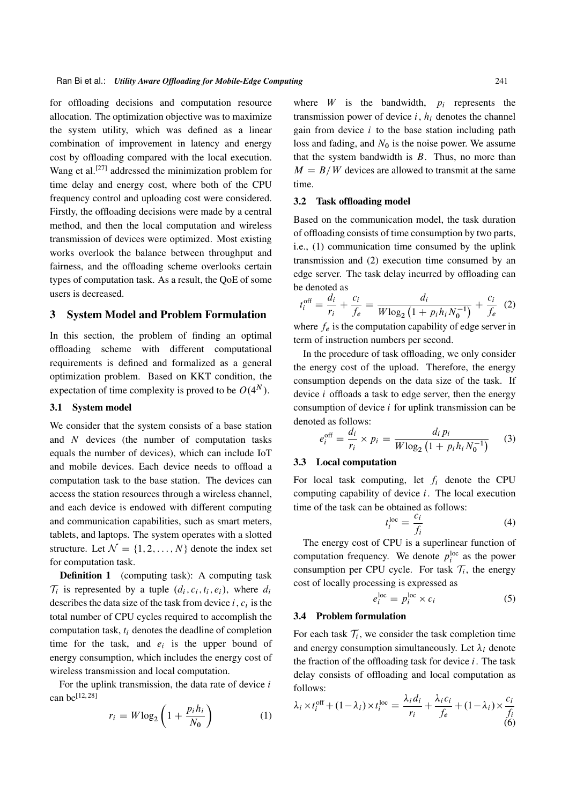for offloading decisions and computation resource allocation. The optimization objective was to maximize the system utility, which was defined as a linear combination of improvement in latency and energy cost by offloading compared with the local execution. Wang et al.<sup>[27]</sup> addressed the minimization problem for time delay and energy cost, where both of the CPU frequency control and uploading cost were considered. Firstly, the offloading decisions were made by a central method, and then the local computation and wireless transmission of devices were optimized. Most existing works overlook the balance between throughput and fairness, and the offloading scheme overlooks certain types of computation task. As a result, the QoE of some users is decreased.

## 3 System Model and Problem Formulation

In this section, the problem of finding an optimal offloading scheme with different computational requirements is defined and formalized as a general optimization problem. Based on KKT condition, the expectation of time complexity is proved to be  $O(4^N)$ .

#### 3.1 System model

We consider that the system consists of a base station and N devices (the number of computation tasks equals the number of devices), which can include IoT and mobile devices. Each device needs to offload a computation task to the base station. The devices can access the station resources through a wireless channel, and each device is endowed with different computing and communication capabilities, such as smart meters, tablets, and laptops. The system operates with a slotted structure. Let  $\mathcal{N} = \{1, 2, ..., N\}$  denote the index set for computation task.

**Definition 1** (computing task): A computing task  $\mathcal{T}_i$  is represented by a tuple  $(d_i, c_i, t_i, e_i)$ , where  $d_i$ describes the data size of the task from device  $i, c_i$  is the total number of CPU cycles required to accomplish the computation task,  $t_i$  denotes the deadline of completion time for the task, and  $e_i$  is the upper bound of energy consumption, which includes the energy cost of wireless transmission and local computation.

For the uplink transmission, the data rate of device  $i$ can be[12, 28]

$$
r_i = W \log_2 \left( 1 + \frac{p_i h_i}{N_0} \right) \tag{1}
$$

where  $W$  is the bandwidth,  $p_i$  represents the transmission power of device  $i, h_i$  denotes the channel gain from device  $i$  to the base station including path loss and fading, and  $N_0$  is the noise power. We assume that the system bandwidth is  $B$ . Thus, no more than  $M = B/W$  devices are allowed to transmit at the same time.

#### 3.2 Task offloading model

Based on the communication model, the task duration of offloading consists of time consumption by two parts, i.e., (1) communication time consumed by the uplink transmission and (2) execution time consumed by an edge server. The task delay incurred by offloading can be denoted as

$$
t_i^{\text{off}} = \frac{d_i}{r_i} + \frac{c_i}{f_e} = \frac{d_i}{W \log_2 \left( 1 + p_i h_i N_0^{-1} \right)} + \frac{c_i}{f_e} \tag{2}
$$

where  $f_e$  is the computation capability of edge server in term of instruction numbers per second.

In the procedure of task offloading, we only consider the energy cost of the upload. Therefore, the energy consumption depends on the data size of the task. If device  $i$  offloads a task to edge server, then the energy consumption of device  $i$  for uplink transmission can be denoted as follows:

$$
e_i^{\text{off}} = \frac{d_i}{r_i} \times p_i = \frac{d_i p_i}{W \log_2 (1 + p_i h_i N_0^{-1})}
$$
(3)

## 3.3 Local computation

For local task computing, let  $f_i$  denote the CPU computing capability of device i. The local execution time of the task can be obtained as follows:

$$
t_i^{\text{loc}} = \frac{c_i}{f_i} \tag{4}
$$

The energy cost of CPU is a superlinear function of computation frequency. We denote  $p_i^{\text{loc}}$  as the power consumption per CPU cycle. For task  $\mathcal{T}_i$ , the energy cost of locally processing is expressed as

$$
e_i^{\text{loc}} = p_i^{\text{loc}} \times c_i \tag{5}
$$

## 3.4 Problem formulation

For each task  $\mathcal{T}_i$ , we consider the task completion time and energy consumption simultaneously. Let  $\lambda_i$  denote the fraction of the offloading task for device  $i$ . The task delay consists of offloading and local computation as follows:

$$
\lambda_i \times t_i^{\text{off}} + (1 - \lambda_i) \times t_i^{\text{loc}} = \frac{\lambda_i d_i}{r_i} + \frac{\lambda_i c_i}{f_e} + (1 - \lambda_i) \times \frac{c_i}{f_i}
$$
(6)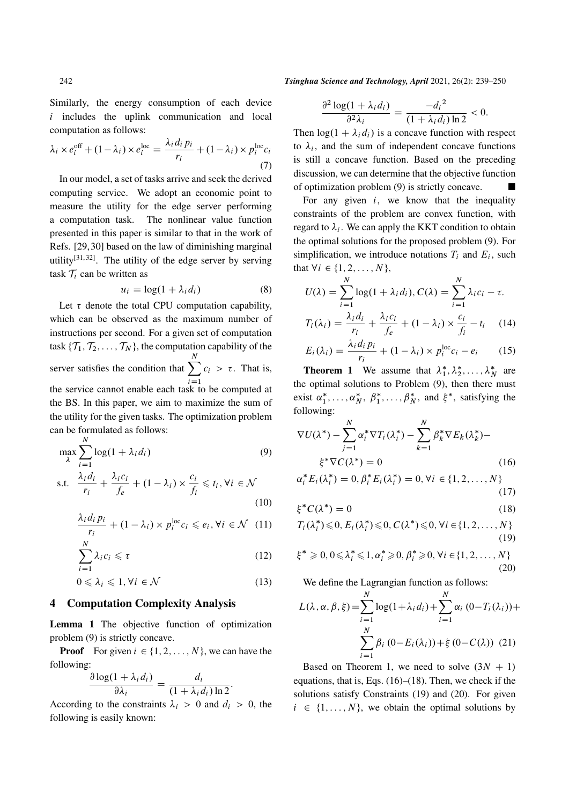Similarly, the energy consumption of each device  $i$  includes the uplink communication and local computation as follows:

$$
\lambda_i \times e_i^{\text{off}} + (1 - \lambda_i) \times e_i^{\text{loc}} = \frac{\lambda_i d_i p_i}{r_i} + (1 - \lambda_i) \times p_i^{\text{loc}} c_i
$$
\n(7)

In our model, a set of tasks arrive and seek the derived computing service. We adopt an economic point to measure the utility for the edge server performing a computation task. The nonlinear value function presented in this paper is similar to that in the work of Refs. [29, 30] based on the law of diminishing marginal utility<sup>[31,32]</sup>. The utility of the edge server by serving task  $\mathcal{T}_i$  can be written as

$$
u_i = \log(1 + \lambda_i d_i) \tag{8}
$$

Let  $\tau$  denote the total CPU computation capability, which can be observed as the maximum number of instructions per second. For a given set of computation task  $\{T_1, T_2, \ldots, T_N\}$ , the computation capability of the server satisfies the condition that  $\sum$ N  $i=1$  $c_i > \tau$ . That is, the service cannot enable each task to be computed at the BS. In this paper, we aim to maximize the sum of the utility for the given tasks. The optimization problem can be formulated as follows: N

$$
\max_{\lambda} \sum_{i=1}^{\infty} \log(1 + \lambda_i d_i)
$$
(9)  
s.t. 
$$
\frac{\lambda_i d_i}{r_i} + \frac{\lambda_i c_i}{f_e} + (1 - \lambda_i) \times \frac{c_i}{f_i} \leq t_i, \forall i \in \mathcal{N}
$$
(10)

$$
\frac{\lambda_i d_i p_i}{r_i} + (1 - \lambda_i) \times p_i^{\text{loc}} c_i \leqslant e_i, \forall i \in \mathcal{N} \quad (11)
$$

$$
\sum_{i=1}^{N} \lambda_i c_i \leq \tau \tag{12}
$$

$$
0 \leqslant \lambda_i \leqslant 1, \forall i \in \mathcal{N} \tag{13}
$$

#### 4 Computation Complexity Analysis

Lemma 1 The objective function of optimization problem (9) is strictly concave.

**Proof** For given  $i \in \{1, 2, ..., N\}$ , we can have the following:

$$
\frac{\partial \log(1 + \lambda_i d_i)}{\partial \lambda_i} = \frac{d_i}{(1 + \lambda_i d_i) \ln 2}.
$$

According to the constraints  $\lambda_i > 0$  and  $d_i > 0$ , the following is easily known:

242 *Tsinghua Science and Technology, April* 2021, 26(2): 239–250

$$
\frac{\partial^2 \log(1 + \lambda_i d_i)}{\partial^2 \lambda_i} = \frac{-d_i^2}{(1 + \lambda_i d_i) \ln 2} < 0.
$$

Then  $log(1 + \lambda_i d_i)$  is a concave function with respect to  $\lambda_i$ , and the sum of independent concave functions is still a concave function. Based on the preceding discussion, we can determine that the objective function of optimization problem (9) is strictly concave.

For any given  $i$ , we know that the inequality constraints of the problem are convex function, with regard to  $\lambda_i$ . We can apply the KKT condition to obtain the optimal solutions for the proposed problem (9). For simplification, we introduce notations  $T_i$  and  $E_i$ , such that  $\forall i \in \{1, 2, ..., N\},\$ 

$$
U(\lambda) = \sum_{i=1}^{N} \log(1 + \lambda_i d_i), C(\lambda) = \sum_{i=1}^{N} \lambda_i c_i - \tau.
$$
  

$$
T_i(\lambda_i) = \frac{\lambda_i d_i}{r_i} + \frac{\lambda_i c_i}{f_e} + (1 - \lambda_i) \times \frac{c_i}{f_i} - t_i \quad (14)
$$
  

$$
E_i(\lambda_i) = \frac{\lambda_i d_i p_i}{r_i} + (1 - \lambda_i) \times p_i^{\text{loc}} c_i - e_i \quad (15)
$$

**Theorem 1** We assume that  $\lambda_1^*$  $\lambda_1^*, \lambda_2^*, \ldots, \lambda_N^*$  are the optimal solutions to Problem (9), then there must exist  $\alpha_1^*$  $i_1^*, \ldots, \alpha_N^*, \ \beta_1^*$  $j_1^*, \ldots, \beta_N^*$ , and  $\xi^*$ , satisfying the following:

$$
\nabla U(\lambda^*) - \sum_{j=1}^N \alpha_i^* \nabla T_i(\lambda_i^*) - \sum_{k=1}^N \beta_k^* \nabla E_k(\lambda_k^*) -
$$
  

$$
\xi^* \nabla C(\lambda^*) = 0
$$
 (16)

$$
\alpha_i^* E_i(\lambda_i^*) = 0, \beta_i^* E_i(\lambda_i^*) = 0, \forall i \in \{1, 2, ..., N\}
$$
\n(17)

$$
\xi^* C(\lambda^*) = 0 \tag{18}
$$

$$
T_i(\lambda_i^*) \leq 0, E_i(\lambda_i^*) \leq 0, C(\lambda^*) \leq 0, \forall i \in \{1, 2, \dots, N\}
$$
\n
$$
(19)
$$

$$
\xi^* \geq 0, 0 \leq \lambda_i^* \leq 1, \alpha_i^* \geq 0, \beta_i^* \geq 0, \forall i \in \{1, 2, ..., N\}
$$
\n(20)

We define the Lagrangian function as follows:

$$
L(\lambda, \alpha, \beta, \xi) = \sum_{i=1}^{N} \log(1 + \lambda_i d_i) + \sum_{i=1}^{N} \alpha_i (0 - T_i(\lambda_i)) + \sum_{i=1}^{N} \beta_i (0 - E_i(\lambda_i)) + \xi (0 - C(\lambda)) (21)
$$

Based on Theorem 1, we need to solve  $(3N + 1)$ equations, that is, Eqs. (16)–(18). Then, we check if the solutions satisfy Constraints (19) and (20). For given  $i \in \{1, \ldots, N\}$ , we obtain the optimal solutions by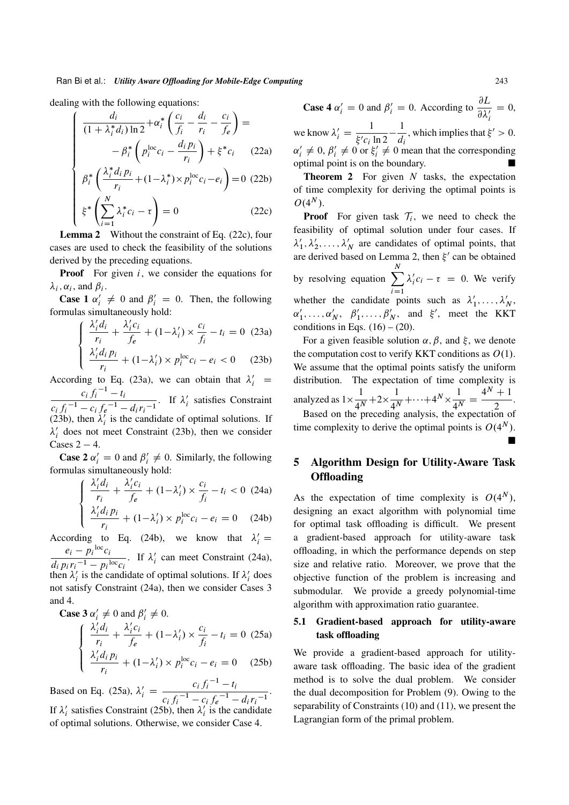dealing with the following equations:

$$
\begin{cases}\n\frac{d_i}{(1+\lambda_i^*d_i)\ln 2} + \alpha_i^* \left(\frac{c_i}{f_i} - \frac{d_i}{r_i} - \frac{c_i}{f_e}\right) = \\
-\beta_i^* \left(p_i^{loc}c_i - \frac{d_i p_i}{r_i}\right) + \xi^*c_i \quad (22a) \\
\beta_i^* \left(\frac{\lambda_i^* d_i p_i}{r_i} + (1-\lambda_i^*) \times p_i^{loc}c_i - e_i\right) = 0 \quad (22b) \\
\xi^* \left(\sum_{i=1}^N \lambda_i^* c_i - \tau\right) = 0 \quad (22c)\n\end{cases}
$$

$$
\xi^* \left( \sum_{i=1}^N \lambda_i^* c_i - \tau \right) = 0 \tag{22c}
$$

Lemma 2 Without the constraint of Eq. (22c), four cases are used to check the feasibility of the solutions derived by the preceding equations.

**Proof** For given  $i$ , we consider the equations for  $\lambda_i$ ,  $\alpha_i$ , and  $\beta_i$ .

**Case 1**  $\alpha'_i \neq 0$  and  $\beta'_i = 0$ . Then, the following formulas simultaneously hold:

$$
\begin{cases} \frac{\lambda'_i d_i}{r_i} + \frac{\lambda'_i c_i}{f_e} + (1 - \lambda'_i) \times \frac{c_i}{f_i} - t_i = 0 \quad (23a) \\ \frac{\lambda'_i d_i p_i}{r_i} + (1 - \lambda'_i) \times p_i^{\text{loc}} c_i - e_i < 0 \quad (23b) \end{cases}
$$

According to Eq. (23a), we can obtain that  $\lambda'_i$  =  $c_i f_i^{-1} - t_i$  $\frac{c_i f_i - l_i}{c_i f_i^{-1} - c_i f_e^{-1} - d_i r_i^{-1}}$ . If  $\lambda_i'$  $i$  satisfies Constraint (23b), then  $\lambda'_i$  is the candidate of optimal solutions. If ;  $\lambda_i'$  $i<sub>i</sub>$  does not meet Constraint (23b), then we consider Cases  $2 - 4$ .

**Case 2**  $\alpha'_i = 0$  and  $\beta'_i \neq 0$ . Similarly, the following formulas simultaneously hold:

$$
\begin{cases} \frac{\lambda'_i d_i}{r_i} + \frac{\lambda'_i c_i}{f_e} + (1 - \lambda'_i) \times \frac{c_i}{f_i} - t_i < 0 \ (24a) \\ \frac{\lambda'_i d_i p_i}{r_i} + (1 - \lambda'_i) \times p_i^{\text{loc}} c_i - e_i = 0 \ (24b) \end{cases}
$$

According to Eq. (24b), we know that  $\lambda'_i =$  $e_i - p_i^{\log} c_i$  $\frac{e_i - p_i - c_i}{d_i p_i r_i^{-1} - p_i \log c_i}$ . If  $\lambda_i$  $i$  can meet Constraint (24a), then  $\lambda_i'$  $\hat{i}_i$  is the candidate of optimal solutions. If  $\lambda_i$  $i$  does not satisfy Constraint (24a), then we consider Cases 3 and 4.

Case 3 
$$
\alpha'_i \neq 0
$$
 and  $\beta'_i \neq 0$ .  
\n
$$
\begin{cases}\n\frac{\lambda'_i d_i}{r_i} + \frac{\lambda'_i c_i}{f_e} + (1 - \lambda'_i) \times \frac{c_i}{f_i} - t_i = 0 \tag{25a} \\
\frac{\lambda'_i d_i p_i}{r_i} + (1 - \lambda'_i) \times p_i^{\text{loc}} c_i - e_i = 0 \tag{25b}\n\end{cases}
$$

Based on Eq. (25a),  $\lambda'_i = \frac{c_i f_i^{-1} - t_i}{\lambda_i^{-1} - t_i^{-1}}$  $\frac{c_i f_i^{-1} - c_i f_e^{-1} - d_i r_i^{-1}}{c_i f_e^{-1} - d_i r_i^{-1}}$ If  $\lambda_i'$  $\lambda_i'$  satisfies Constraint (25b), then  $\lambda_i'$  $i$  is the candidate of optimal solutions. Otherwise, we consider Case 4.

**Case 4**  $\alpha'_i = 0$  and  $\beta'_i = 0$ . According to  $\frac{\partial L}{\partial \lambda'}$  $\frac{\partial L}{\partial \lambda'_i} = 0,$ i

we know  $\lambda'_i = \frac{1}{\xi'_i}$  $\sqrt{\xi' c_i \ln 2}$  $-1$  $\frac{1}{d_i}$ , which implies that  $\xi' > 0$ .  $\alpha'_i \neq 0$ ,  $\beta'_i \neq 0$  or  $\xi'_i \neq 0$  mean that the corresponding  $(100/10)$ optimal point is on the boundary.

**Theorem 2** For given  $N$  tasks, the expectation of time complexity for deriving the optimal points is  $O(4^N)$ .

**Proof** For given task  $T_i$ , we need to check the feasibility of optimal solution under four cases. If  $\lambda_1'$  $\lambda'_1, \lambda'_2, \ldots, \lambda'_N$  are candidates of optimal points, that are derived based on Lemma 2, then  $\xi'$  can be obtained by resolving equation  $\sum$ N  $i=1$  $\lambda_i'$  $i'_{i}c_{i} - \tau = 0$ . We verify whether the candidate points such as  $\lambda'$  $\lambda'_1, \ldots, \lambda'_N$  $\alpha'_{1}$  $\alpha'_1, \ldots, \alpha'_N, \ \ \beta'_1$  $'_{1}, \ldots, \beta'_{N}$ , and  $\xi'$ , meet the KKT conditions in Eqs.  $(16) - (20)$ .

For a given feasible solution  $\alpha$ ,  $\beta$ , and  $\xi$ , we denote the computation cost to verify KKT conditions as  $O(1)$ . We assume that the optimal points satisfy the uniform distribution. The expectation of time complexity is analyzed as  $1 \times \frac{1}{\sqrt{2}}$  $\frac{1}{4^N} + 2 \times \frac{1}{4^N}$  $\frac{1}{4^N} + \cdots + 4^N \times \frac{1}{4^N}$  $4<sup>N</sup>$  $=\frac{4^{N}+1}{2^{N}}$  $\frac{1}{2}$ . Based on the preceding analysis, the expectation of

time complexity to derive the optimal points is  $O(4^N)$ .  $\blacksquare$ 

## 5 Algorithm Design for Utility-Aware Task **Offloading**

As the expectation of time complexity is  $O(4^N)$ , designing an exact algorithm with polynomial time for optimal task offloading is difficult. We present a gradient-based approach for utility-aware task offloading, in which the performance depends on step size and relative ratio. Moreover, we prove that the objective function of the problem is increasing and submodular. We provide a greedy polynomial-time algorithm with approximation ratio guarantee.

## 5.1 Gradient-based approach for utility-aware task offloading

We provide a gradient-based approach for utilityaware task offloading. The basic idea of the gradient method is to solve the dual problem. We consider the dual decomposition for Problem (9). Owing to the separability of Constraints (10) and (11), we present the Lagrangian form of the primal problem.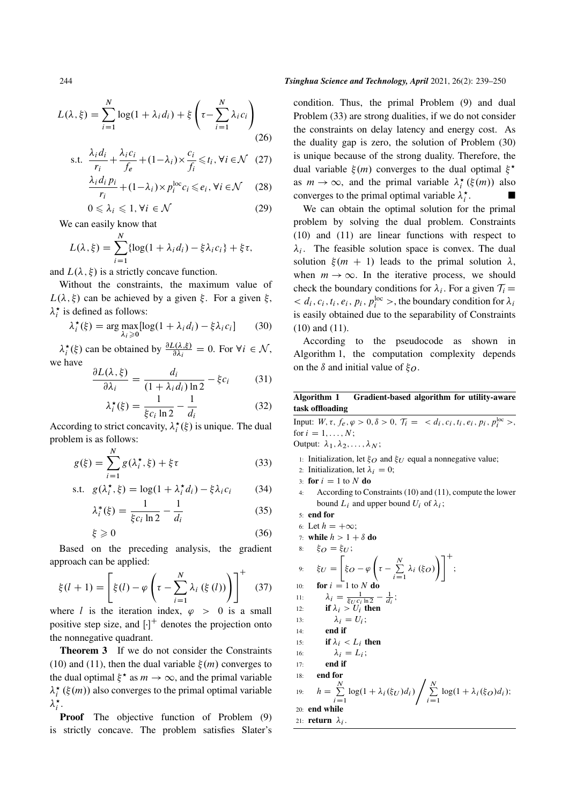$$
L(\lambda, \xi) = \sum_{i=1}^{N} \log(1 + \lambda_i d_i) + \xi \left(\tau - \sum_{i=1}^{N} \lambda_i c_i\right)
$$
\n(26)

s.t. 
$$
\frac{\lambda_i d_i}{r_i} + \frac{\lambda_i c_i}{f_e} + (1 - \lambda_i) \times \frac{c_i}{f_i} \leq t_i, \forall i \in \mathcal{N}
$$
 (27)

$$
\frac{\lambda_i d_i p_i}{r_i} + (1 - \lambda_i) \times p_i^{\text{loc}} c_i \le e_i, \forall i \in \mathcal{N} \quad (28)
$$

$$
0 \leq \lambda_i \leq 1, \forall i \in \mathcal{N} \tag{29}
$$

We can easily know that

$$
L(\lambda, \xi) = \sum_{i=1}^{N} \{ \log(1 + \lambda_i d_i) - \xi \lambda_i c_i \} + \xi \tau,
$$

and  $L(\lambda, \xi)$  is a strictly concave function.

Without the constraints, the maximum value of  $L(\lambda, \xi)$  can be achieved by a given  $\xi$ . For a given  $\xi$ ,  $\lambda_i^*$  is defined as follows:

$$
\lambda_i^{\star}(\xi) = \arg \max_{\lambda_i \ge 0} [\log(1 + \lambda_i d_i) - \xi \lambda_i c_i]
$$
 (30)

 $\lambda_i^{\star}(\xi)$  can be obtained by  $\frac{\partial L(\lambda,\xi)}{\partial \lambda_i} = 0$ . For  $\forall i \in \mathcal{N}$ , we have

$$
\frac{\partial L(\lambda, \xi)}{\partial \lambda_i} = \frac{d_i}{(1 + \lambda_i d_i) \ln 2} - \xi c_i \tag{31}
$$

$$
\lambda_i^{\star}(\xi) = \frac{1}{\xi c_i \ln 2} - \frac{1}{d_i} \tag{32}
$$

According to strict concavity,  $\lambda_i^{\star}(\xi)$  is unique. The dual problem is as follows:

$$
g(\xi) = \sum_{i=1}^{N} g(\lambda_i^{\star}, \xi) + \xi \tau
$$
 (33)

s.t. 
$$
g(\lambda_i^*, \xi) = \log(1 + \lambda_i^* d_i) - \xi \lambda_i c_i
$$
 (34)

$$
\lambda_i^*(\xi) = \frac{1}{\xi c_i \ln 2} - \frac{1}{d_i}
$$
 (35)

$$
\xi \geqslant 0 \tag{36}
$$

Based on the preceding analysis, the gradient approach can be applied:

$$
\xi(l+1) = \left[\xi(l) - \varphi\left(\tau - \sum_{i=1}^{N} \lambda_i\left(\xi\left(l\right)\right)\right)\right]^{+}
$$
 (37)

where *l* is the iteration index,  $\varphi > 0$  is a small positive step size, and  $\left[\cdot\right]^+$  denotes the projection onto the nonnegative quadrant.

Theorem 3 If we do not consider the Constraints (10) and (11), then the dual variable  $\xi(m)$  converges to the dual optimal  $\xi^*$  as  $m \to \infty$ , and the primal variable  $\lambda_i^{\star}$  ( $\xi(m)$ ) also converges to the primal optimal variable  $\lambda_i^{\star}$ .

Proof The objective function of Problem (9) is strictly concave. The problem satisfies Slater's

#### 244 *Tsinghua Science and Technology, April* 2021, 26(2): 239–250

condition. Thus, the primal Problem (9) and dual Problem (33) are strong dualities, if we do not consider the constraints on delay latency and energy cost. As the duality gap is zero, the solution of Problem (30) is unique because of the strong duality. Therefore, the dual variable  $\xi(m)$  converges to the dual optimal  $\xi^*$ as  $m \to \infty$ , and the primal variable  $\lambda_i^{\star}(\xi(m))$  also converges to the primal optimal variable  $\lambda_i^*$ .

We can obtain the optimal solution for the primal problem by solving the dual problem. Constraints (10) and (11) are linear functions with respect to  $\lambda_i$ . The feasible solution space is convex. The dual solution  $\xi(m + 1)$  leads to the primal solution  $\lambda$ , when  $m \to \infty$ . In the iterative process, we should check the boundary conditions for  $\lambda_i$ . For a given  $\mathcal{T}_i$  =  $d_i, c_i, t_i, e_i, p_i, p_i^{\text{loc}} >$ , the boundary condition for  $\lambda_i$ is easily obtained due to the separability of Constraints (10) and (11).

According to the pseudocode as shown in Algorithm 1, the computation complexity depends on the  $\delta$  and initial value of  $\xi_{\Omega}$ .

## Algorithm 1 Gradient-based algorithm for utility-aware task offloading

Input: 
$$
W, \tau, f_e, \varphi > 0, \delta > 0, \tau_i = < d_i, c_i, t_i, e_i, p_i, p_i^{\text{loc}} >
$$
,  
\nfor  $i = 1, ..., N$ ;  
\nOutput:  $\lambda_1, \lambda_2, ..., \lambda_N$ ;  
\n1: Initialization, let  $\xi_O$  and  $\xi_U$  equal a nonnegative value;  
\n2: Initialization, let  $\lambda_i = 0$ ;  
\n3: **for**  $i = 1$  to  $N$  **do**  
\n4: According to Constraints (10) and (11), compute the lower  
\nbound  $L_i$  and upper bound  $U_i$  of  $\lambda_i$ ;  
\n5: **end for**  
\n6: Let  $h = +\infty$ ;  
\n7: **while**  $h > 1 + \delta$  **do**  
\n8:  $\xi_O = \xi_U$ ;  
\n9:  $\xi_U = \left[ \xi_O - \varphi \left( \tau - \sum_{i=1}^N \lambda_i (\xi_O) \right) \right]^+$ ;  
\n10: **for**  $i = 1$  to  $N$  **do**  
\n11:  $\lambda_i = \frac{1}{\xi_U c_i \ln 2} - \frac{1}{d_i}$ ;  
\n12: **if**  $\lambda_i > U_i$  **then**  
\n13:  $\lambda_i = U_i$ ;  
\n14: **end if**  
\n15: **if**  $\lambda_i < L_i$  **then**  
\n16:  $\lambda_i = L_i$ ;  
\n17: **end if**  
\n18: **end for**  
\n19:  $h = \sum_{i=1}^N \log(1 + \lambda_i(\xi_U)d_i) / \sum_{i=1}^N \log(1 + \lambda_i(\xi_O)d_i)$ ;  
\n20: **end while**  
\n21: **return**  $\lambda_i$ .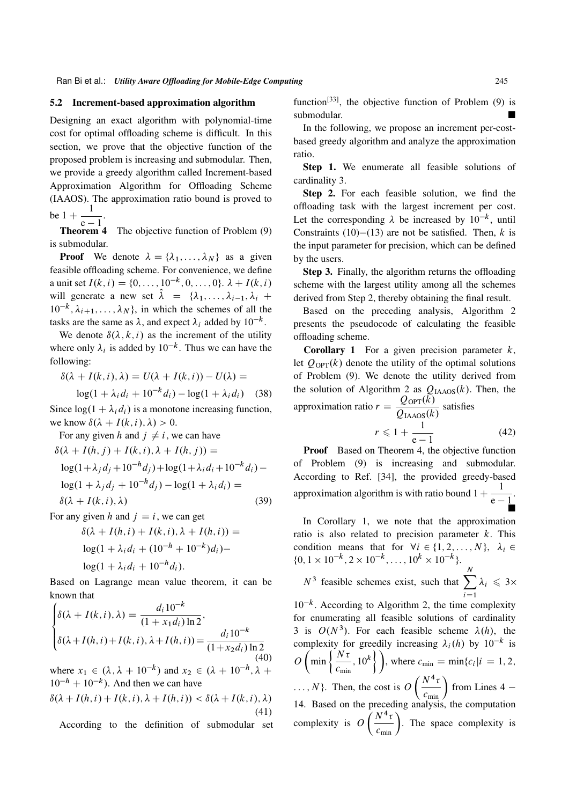### 5.2 Increment-based approximation algorithm

Designing an exact algorithm with polynomial-time cost for optimal offloading scheme is difficult. In this section, we prove that the objective function of the proposed problem is increasing and submodular. Then, we provide a greedy algorithm called Increment-based Approximation Algorithm for Offloading Scheme (IAAOS). The approximation ratio bound is proved to be  $1 + \frac{1}{2}$  $\frac{1}{e-1}$ .

Theorem 4 The objective function of Problem (9) is submodular.

**Proof** We denote  $\lambda = {\lambda_1, \ldots, \lambda_N}$  as a given feasible offloading scheme. For convenience, we define a unit set  $I(k, i) = \{0, \ldots, 10^{-k}, 0, \ldots, 0\}$ .  $\lambda + I(k, i)$ will generate a new set  $\hat{\lambda} = {\lambda_1, \dots, \lambda_{i-1}, \lambda_i}$  $10^{-k}$ ,  $\lambda_{i+1}, \ldots, \lambda_N$ , in which the schemes of all the tasks are the same as  $\lambda$ , and expect  $\lambda_i$  added by  $10^{-k}$ .

We denote  $\delta(\lambda, k, i)$  as the increment of the utility where only  $\lambda_i$  is added by  $10^{-k}$ . Thus we can have the following:

$$
\delta(\lambda + I(k, i), \lambda) = U(\lambda + I(k, i)) - U(\lambda) =
$$
  

$$
\log(1 + \lambda_i d_i + 10^{-k} d_i) - \log(1 + \lambda_i d_i)
$$
 (38)

Since  $log(1 + \lambda_i d_i)$  is a monotone increasing function, we know  $\delta(\lambda + I(k, i), \lambda) > 0$ .

For any given h and  $j \neq i$ , we can have

$$
\delta(\lambda + I(h, j) + I(k, i), \lambda + I(h, j)) =
$$
  
\n
$$
\log(1 + \lambda_j d_j + 10^{-h} d_j) + \log(1 + \lambda_i d_i + 10^{-k} d_i) -
$$
  
\n
$$
\log(1 + \lambda_j d_j + 10^{-h} d_j) - \log(1 + \lambda_i d_i) =
$$
  
\n
$$
\delta(\lambda + I(k, i), \lambda)
$$
\n(39)

For any given h and  $j = i$ , we can get

$$
\delta(\lambda + I(h, i) + I(k, i), \lambda + I(h, i)) =
$$
  
\n
$$
\log(1 + \lambda_i d_i + (10^{-h} + 10^{-k}) d_i) -
$$
  
\n
$$
\log(1 + \lambda_i d_i + 10^{-h} d_i).
$$

Based on Lagrange mean value theorem, it can be known that

$$
\begin{cases}\n\delta(\lambda + I(k, i), \lambda) = \frac{d_i 10^{-k}}{(1 + x_1 d_i) \ln 2}, \\
\delta(\lambda + I(h, i) + I(k, i), \lambda + I(h, i)) = \frac{d_i 10^{-k}}{(1 + x_2 d_i) \ln 2} \\
(40)\n\end{cases}
$$

where  $x_1 \in (\lambda, \lambda + 10^{-k})$  and  $x_2 \in (\lambda + 10^{-h}, \lambda +$  $10^{-h} + 10^{-k}$ ). And then we can have

$$
\delta(\lambda + I(h, i) + I(k, i), \lambda + I(h, i)) < \delta(\lambda + I(k, i), \lambda) \tag{41}
$$

According to the definition of submodular set

function<sup>[33]</sup>, the objective function of Problem  $(9)$  is submodular.

In the following, we propose an increment per-costbased greedy algorithm and analyze the approximation ratio.

Step 1. We enumerate all feasible solutions of cardinality 3.

Step 2. For each feasible solution, we find the offloading task with the largest increment per cost. Let the corresponding  $\lambda$  be increased by  $10^{-k}$ , until Constraints (10)–(13) are not be satisfied. Then, k is the input parameter for precision, which can be defined by the users.

Step 3. Finally, the algorithm returns the offloading scheme with the largest utility among all the schemes derived from Step 2, thereby obtaining the final result.

Based on the preceding analysis, Algorithm 2 presents the pseudocode of calculating the feasible offloading scheme.

**Corollary 1** For a given precision parameter  $k$ , let  $Q_{\text{OPT}}(k)$  denote the utility of the optimal solutions of Problem (9). We denote the utility derived from the solution of Algorithm 2 as  $Q_{\text{IAAOS}}(k)$ . Then, the approximation ratio  $r = \frac{Q_{\text{OPT}}(k)}{Q_{\text{IAAOS}}(k)}$  satisfies

$$
r \leqslant 1 + \frac{1}{e - 1} \tag{42}
$$

**Proof** Based on Theorem 4, the objective function of Problem (9) is increasing and submodular. According to Ref. [34], the provided greedy-based approximation algorithm is with ratio bound  $1 + \frac{1}{\sqrt{2}}$  $\frac{1}{e-1}$ . È

In Corollary 1, we note that the approximation ratio is also related to precision parameter  $k$ . This condition means that for  $\forall i \in \{1, 2, ..., N\}, \lambda_i \in$  $\{0, 1 \times 10^{-k}, 2 \times 10^{-k}, \dots, 10^{k} \times 10^{-k}\}.$ 

$$
N^3
$$
 feasible schemes exist, such that  $\sum_{i=1}^N \lambda_i \le 3 \times$ 

 $10^{-k}$ . According to Algorithm 2, the time complexity for enumerating all feasible solutions of cardinality 3 is  $O(N^3)$ . For each feasible scheme  $\lambda(h)$ , the complexity for greedily increasing  $\lambda_i(h)$  by  $10^{-k}$  is  $O\left(\min\left\{\frac{N\tau}{N}\right\}\right)$  $c_{\min}$  $, 10^k$ , where  $c_{\min} = \min\{c_i | i = 1, 2, \}$ 

 $\dots, N$ }. Then, the cost is  $O\left(\frac{N^4 \tau}{c_{\min}}\right)$  from Lines 4 – 14. Based on the preceding analysis, the computation complexity is  $O\left(\frac{N^4\tau}{c_{\min}}\right)$ . The space complexity is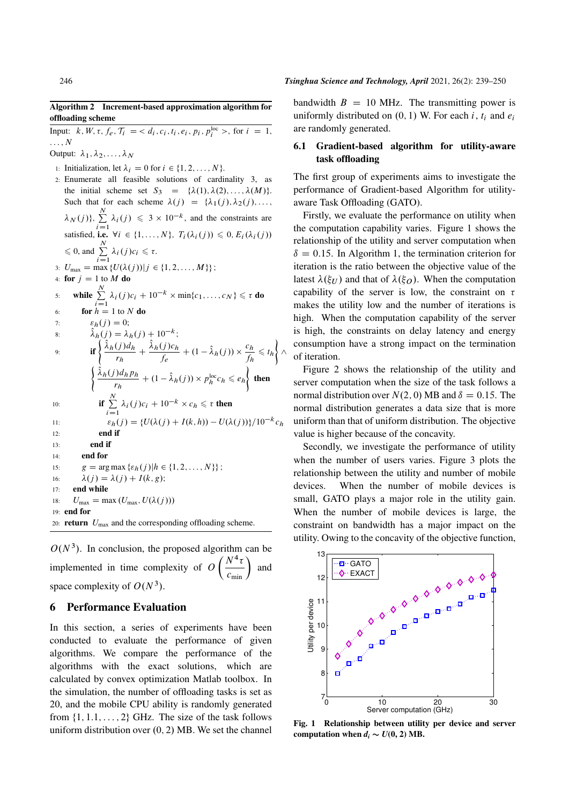Input:  $k, W, \tau, f_e, \mathcal{T}_i = \langle d_i, c_i, t_i, e_i, p_i, p_i^{\text{loc}} \rangle$ , for  $i = 1$ ,  $\ldots, N$ 

Output:  $\lambda_1, \lambda_2, \ldots, \lambda_N$ 

- 1: Initialization, let  $\lambda_i = 0$  for  $i \in \{1, 2, \ldots, N\}.$
- 2: Enumerate all feasible solutions of cardinality 3, as the initial scheme set  $S_3 = {\lambda(1), \lambda(2), \ldots, \lambda(M)}$ . Such that for each scheme  $\lambda(j) = {\lambda_1(j), \lambda_2(j), ...,}$  $\lambda_{N}(j)\},\,\sum\limits_{N=1}^{N}$  $\sum_{i=1}^{N} \lambda_i(j) \leq 3 \times 10^{-k}$ , and the constraints are satisfied, i.e.  $\forall i \in \{1, ..., N\}, T_i(\lambda_i(j)) \leq 0, E_i(\lambda_i(j))$  $\leqslant$  0, and  $\sum^N$  $\sum_{i=1}^N \lambda_i(j)c_i \leq \tau.$ 3:  $U_{\text{max}} = \max \{U(\lambda(j)) | j \in \{1, 2, ..., M\}\};$ 4: for  $j = 1$  to M do 5: while  $\sum_{i=1}^{N}$  $\sum_{i=1}^{N} \lambda_i(j)c_i + 10^{-k} \times \min\{c_1, ..., c_N\} \leq \tau$  do 6: **for**  $h = 1$  to N do 7:  $\varepsilon_h(i) = 0;$ 8:  $\hat{\lambda}_h(j) = \lambda_h(j) + 10^{-k};$ 9: if  $\begin{cases} \hat{\lambda}_h(j) d_h \end{cases}$ rh  $+\frac{\hat{\lambda}_h(j)c_h}{\hat{\lambda}_h(j)c_h}$  $\frac{(j)c_h}{f_e} + (1 - \hat{\lambda}_h(j)) \times \frac{c_h}{f_h}$  $\frac{c_h}{f_h} \leqslant t_h \bigg\} \wedge$  $\int \hat{\lambda}_h(j) d_h p_h$  $\left\{ \frac{\partial^2 h}{\partial p_h} + (1 - \hat{\lambda}_h(j)) \times p_h^{\text{loc}} c_h \leq e_h \right\}$ then 10: **if**  $\sum_{n=1}^{N}$  $\sum_{i=1}^{N} \lambda_i(j)c_i + 10^{-k} \times c_h \leq \tau$  then 11:  $\varepsilon_h(j) = \{U(\lambda(j) + I(k, h)) - U(\lambda(j))\}/10^{-k}c_h$ 12: end if 13: end if 14: end for 15:  $g = \arg \max \{\varepsilon_h(j) | h \in \{1, 2, ..., N\}\};$ 16:  $\lambda(j) = \lambda(j) + I(k, g);$ 17: end while 18:  $U_{\text{max}} = \max (U_{\text{max}}, U(\lambda(j)))$ 19: end for 20: **return**  $U_{\text{max}}$  and the corresponding offloading scheme.

 $O(N<sup>3</sup>)$ . In conclusion, the proposed algorithm can be implemented in time complexity of  $O\left(\frac{N^4 \tau}{c_{\min}}\right)$  and space complexity of  $O(N^3)$ .

## 6 Performance Evaluation

In this section, a series of experiments have been conducted to evaluate the performance of given algorithms. We compare the performance of the algorithms with the exact solutions, which are calculated by convex optimization Matlab toolbox. In the simulation, the number of offloading tasks is set as 20, and the mobile CPU ability is randomly generated from  $\{1, 1, 1, \ldots, 2\}$  GHz. The size of the task follows uniform distribution over  $(0, 2)$  MB. We set the channel bandwidth  $B = 10$  MHz. The transmitting power is uniformly distributed on  $(0, 1)$  W. For each i,  $t_i$  and  $e_i$ are randomly generated.

## 6.1 Gradient-based algorithm for utility-aware task offloading

The first group of experiments aims to investigate the performance of Gradient-based Algorithm for utilityaware Task Offloading (GATO).

Firstly, we evaluate the performance on utility when the computation capability varies. Figure 1 shows the relationship of the utility and server computation when  $\delta = 0.15$ . In Algorithm 1, the termination criterion for iteration is the ratio between the objective value of the latest  $\lambda(\xi_U)$  and that of  $\lambda(\xi_O)$ . When the computation capability of the server is low, the constraint on  $\tau$ makes the utility low and the number of iterations is high. When the computation capability of the server is high, the constraints on delay latency and energy consumption have a strong impact on the termination of iteration.

Figure 2 shows the relationship of the utility and server computation when the size of the task follows a normal distribution over  $N(2, 0)$  MB and  $\delta = 0.15$ . The normal distribution generates a data size that is more uniform than that of uniform distribution. The objective value is higher because of the concavity.

Secondly, we investigate the performance of utility when the number of users varies. Figure 3 plots the relationship between the utility and number of mobile devices. When the number of mobile devices is small, GATO plays a major role in the utility gain. When the number of mobile devices is large, the constraint on bandwidth has a major impact on the utility. Owing to the concavity of the objective function,



Fig. 1 Relationship between utility per device and server computation when  $d_i \sim U(0, 2)$  MB.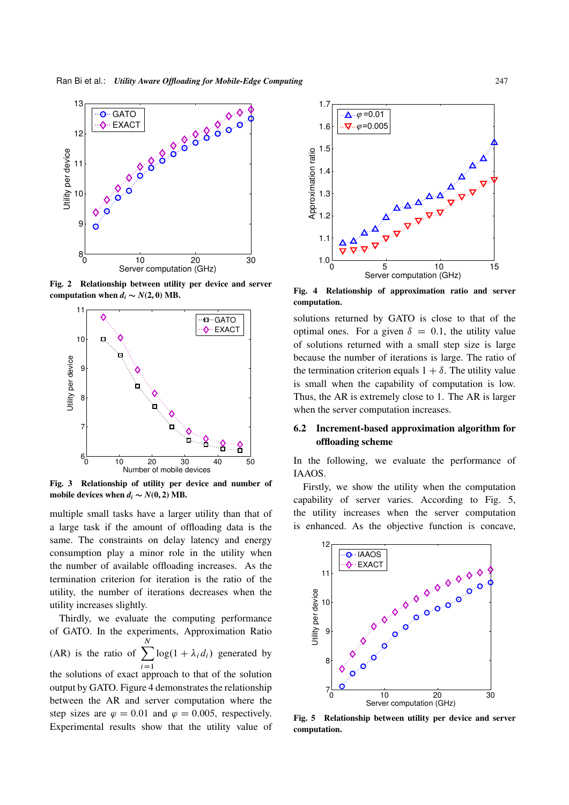

Fig. 2 Relationship between utility per device and server computation when  $d_i \sim N(2, 0)$  MB.



Fig. 3 Relationship of utility per device and number of mobile devices when  $d_i \sim N(0, 2)$  MB.

multiple small tasks have a larger utility than that of a large task if the amount of offloading data is the same. The constraints on delay latency and energy consumption play a minor role in the utility when the number of available offloading increases. As the termination criterion for iteration is the ratio of the utility, the number of iterations decreases when the utility increases slightly.

Thirdly, we evaluate the computing performance of GATO. In the experiments, Approximation Ratio (AR) is the ratio of  $\Sigma$ N  $i=1$  $log(1 + \lambda_i d_i)$  generated by

the solutions of exact approach to that of the solution output by GATO. Figure 4 demonstrates the relationship between the AR and server computation where the step sizes are  $\varphi = 0.01$  and  $\varphi = 0.005$ , respectively. Experimental results show that the utility value of



Fig. 4 Relationship of approximation ratio and server computation.

solutions returned by GATO is close to that of the optimal ones. For a given  $\delta = 0.1$ , the utility value of solutions returned with a small step size is large because the number of iterations is large. The ratio of the termination criterion equals  $1 + \delta$ . The utility value is small when the capability of computation is low. Thus, the AR is extremely close to 1. The AR is larger when the server computation increases.

## 6.2 Increment-based approximation algorithm for offloading scheme

In the following, we evaluate the performance of IAAOS.

Firstly, we show the utility when the computation capability of server varies. According to Fig. 5, the utility increases when the server computation is enhanced. As the objective function is concave,



Fig. 5 Relationship between utility per device and server computation.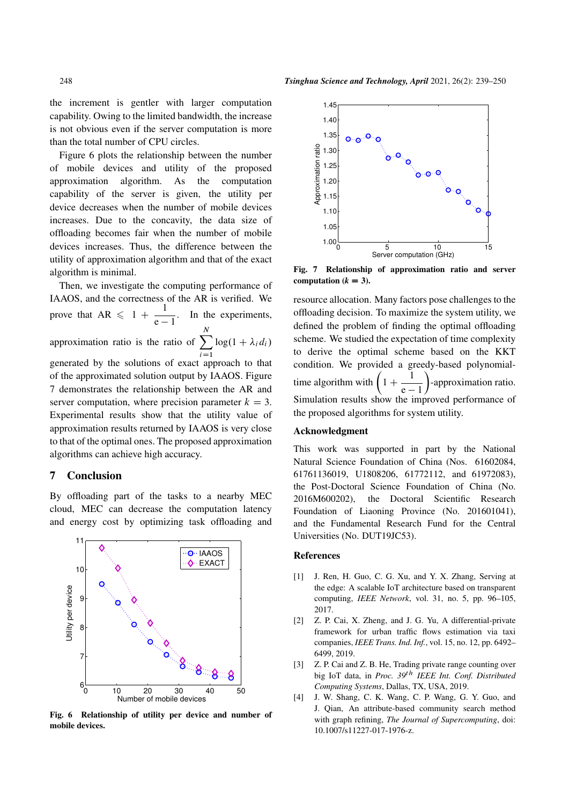the increment is gentler with larger computation capability. Owing to the limited bandwidth, the increase is not obvious even if the server computation is more than the total number of CPU circles.

Figure 6 plots the relationship between the number of mobile devices and utility of the proposed approximation algorithm. As the computation capability of the server is given, the utility per device decreases when the number of mobile devices increases. Due to the concavity, the data size of offloading becomes fair when the number of mobile devices increases. Thus, the difference between the utility of approximation algorithm and that of the exact algorithm is minimal.

Then, we investigate the computing performance of IAAOS, and the correctness of the AR is verified. We prove that  $AR \leq 1 + \frac{1}{\sqrt{1 - \frac{1}{\sqrt{1}}}}$  $\frac{1}{e-1}$ . In the experiments, approximation ratio is the ratio of  $\sum$ N  $i=1$  $log(1 + \lambda_i d_i)$ generated by the solutions of exact approach to that of the approximated solution output by IAAOS. Figure 7 demonstrates the relationship between the AR and server computation, where precision parameter  $k = 3$ . Experimental results show that the utility value of approximation results returned by IAAOS is very close to that of the optimal ones. The proposed approximation algorithms can achieve high accuracy.

## 7 Conclusion

By offloading part of the tasks to a nearby MEC cloud, MEC can decrease the computation latency and energy cost by optimizing task offloading and



Fig. 6 Relationship of utility per device and number of mobile devices.



Fig. 7 Relationship of approximation ratio and server computation  $(k = 3)$ .

resource allocation. Many factors pose challenges to the offloading decision. To maximize the system utility, we defined the problem of finding the optimal offloading scheme. We studied the expectation of time complexity to derive the optimal scheme based on the KKT condition. We provided a greedy-based polynomialtime algorithm with  $\left(1 + \frac{1}{\cdots}\right)$  $\overline{e-1}$  -approximation ratio. Simulation results show the improved performance of the proposed algorithms for system utility.

#### Acknowledgment

This work was supported in part by the National Natural Science Foundation of China (Nos. 61602084, 61761136019, U1808206, 61772112, and 61972083), the Post-Doctoral Science Foundation of China (No. 2016M600202), the Doctoral Scientific Research Foundation of Liaoning Province (No. 201601041), and the Fundamental Research Fund for the Central Universities (No. DUT19JC53).

#### References

- [1] J. Ren, H. Guo, C. G. Xu, and Y. X. Zhang, Serving at the edge: A scalable IoT architecture based on transparent computing, *IEEE Network*, vol. 31, no. 5, pp. 96–105, 2017.
- [2] Z. P. Cai, X. Zheng, and J. G. Yu, A differential-private framework for urban traffic flows estimation via taxi companies, *IEEE Trans. Ind. Inf.*, vol. 15, no. 12, pp. 6492– 6499, 2019.
- [3] Z. P. Cai and Z. B. He, Trading private range counting over big IoT data, in *Proc. 39*th *IEEE Int. Conf. Distributed Computing Systems*, Dallas, TX, USA, 2019.
- [4] J. W. Shang, C. K. Wang, C. P. Wang, G. Y. Guo, and J. Qian, An attribute-based community search method with graph refining, *The Journal of Supercomputing*, doi: 10.1007/s11227-017-1976-z.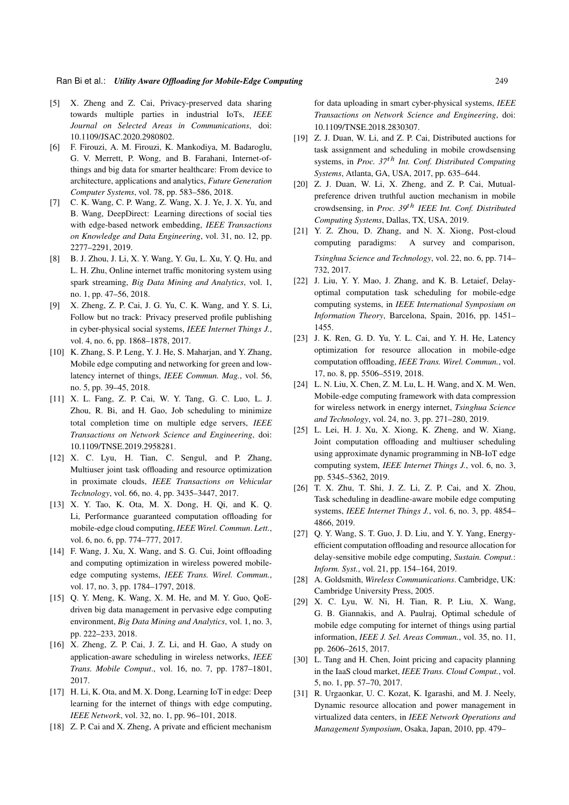- [5] X. Zheng and Z. Cai, Privacy-preserved data sharing towards multiple parties in industrial IoTs, *IEEE Journal on Selected Areas in Communications*, doi: 10.1109/JSAC.2020.2980802.
- [6] F. Firouzi, A. M. Firouzi, K. Mankodiya, M. Badaroglu, G. V. Merrett, P. Wong, and B. Farahani, Internet-ofthings and big data for smarter healthcare: From device to architecture, applications and analytics, *Future Generation Computer Systems*, vol. 78, pp. 583–586, 2018.
- [7] C. K. Wang, C. P. Wang, Z. Wang, X. J. Ye, J. X. Yu, and B. Wang, DeepDirect: Learning directions of social ties with edge-based network embedding, *IEEE Transactions on Knowledge and Data Engineering*, vol. 31, no. 12, pp. 2277–2291, 2019.
- [8] B. J. Zhou, J. Li, X. Y. Wang, Y. Gu, L. Xu, Y. Q. Hu, and L. H. Zhu, Online internet traffic monitoring system using spark streaming, *Big Data Mining and Analytics*, vol. 1, no. 1, pp. 47–56, 2018.
- [9] X. Zheng, Z. P. Cai, J. G. Yu, C. K. Wang, and Y. S. Li, Follow but no track: Privacy preserved profile publishing in cyber-physical social systems, *IEEE Internet Things J.*, vol. 4, no. 6, pp. 1868–1878, 2017.
- [10] K. Zhang, S. P. Leng, Y. J. He, S. Maharjan, and Y. Zhang, Mobile edge computing and networking for green and lowlatency internet of things, *IEEE Commun. Mag.*, vol. 56, no. 5, pp. 39–45, 2018.
- [11] X. L. Fang, Z. P. Cai, W. Y. Tang, G. C. Luo, L. J. Zhou, R. Bi, and H. Gao, Job scheduling to minimize total completion time on multiple edge servers, *IEEE Transactions on Network Science and Engineering*, doi: 10.1109/TNSE.2019.2958281.
- [12] X. C. Lyu, H. Tian, C. Sengul, and P. Zhang, Multiuser joint task offloading and resource optimization in proximate clouds, *IEEE Transactions on Vehicular Technology*, vol. 66, no. 4, pp. 3435–3447, 2017.
- [13] X. Y. Tao, K. Ota, M. X. Dong, H. Qi, and K. Q. Li, Performance guaranteed computation offloading for mobile-edge cloud computing, *IEEE Wirel. Commun*. *Lett.*, vol. 6, no. 6, pp. 774–777, 2017.
- [14] F. Wang, J. Xu, X. Wang, and S. G. Cui, Joint offloading and computing optimization in wireless powered mobileedge computing systems, *IEEE Trans. Wirel. Commun.*, vol. 17, no. 3, pp. 1784–1797, 2018.
- [15] Q. Y. Meng, K. Wang, X. M. He, and M. Y. Guo, QoEdriven big data management in pervasive edge computing environment, *Big Data Mining and Analytics*, vol. 1, no. 3, pp. 222–233, 2018.
- [16] X. Zheng, Z. P. Cai, J. Z. Li, and H. Gao, A study on application-aware scheduling in wireless networks, *IEEE Trans. Mobile Comput*., vol. 16, no. 7, pp. 1787–1801, 2017.
- [17] H. Li, K. Ota, and M. X. Dong, Learning IoT in edge: Deep learning for the internet of things with edge computing, *IEEE Network*, vol. 32, no. 1, pp. 96–101, 2018.
- [18] Z. P. Cai and X. Zheng, A private and efficient mechanism

for data uploading in smart cyber-physical systems, *IEEE Transactions on Network Science and Engineering*, doi: 10.1109/TNSE.2018.2830307.

- [19] Z. J. Duan, W. Li, and Z. P. Cai, Distributed auctions for task assignment and scheduling in mobile crowdsensing systems, in *Proc. 37*th *Int. Conf. Distributed Computing Systems*, Atlanta, GA, USA, 2017, pp. 635–644.
- [20] Z. J. Duan, W. Li, X. Zheng, and Z. P. Cai, Mutualpreference driven truthful auction mechanism in mobile crowdsensing, in *Proc. 39*th *IEEE Int. Conf. Distributed Computing Systems*, Dallas, TX, USA, 2019.
- [21] Y. Z. Zhou, D. Zhang, and N. X. Xiong, Post-cloud computing paradigms: A survey and comparison, *Tsinghua Science and Technology*, vol. 22, no. 6, pp. 714– 732, 2017.
- [22] J. Liu, Y. Y. Mao, J. Zhang, and K. B. Letaief, Delayoptimal computation task scheduling for mobile-edge computing systems, in *IEEE International Symposium on Information Theory*, Barcelona, Spain, 2016, pp. 1451– 1455.
- [23] J. K. Ren, G. D. Yu, Y. L. Cai, and Y. H. He, Latency optimization for resource allocation in mobile-edge computation offloading, *IEEE Trans. Wirel. Commun.*, vol. 17, no. 8, pp. 5506–5519, 2018.
- [24] L. N. Liu, X. Chen, Z. M. Lu, L. H. Wang, and X. M. Wen, Mobile-edge computing framework with data compression for wireless network in energy internet, *Tsinghua Science and Technology*, vol. 24, no. 3, pp. 271–280, 2019.
- [25] L. Lei, H. J. Xu, X. Xiong, K. Zheng, and W. Xiang, Joint computation offloading and multiuser scheduling using approximate dynamic programming in NB-IoT edge computing system, *IEEE Internet Things J.*, vol. 6, no. 3, pp. 5345–5362, 2019.
- [26] T. X. Zhu, T. Shi, J. Z. Li, Z. P. Cai, and X. Zhou, Task scheduling in deadline-aware mobile edge computing systems, *IEEE Internet Things J.*, vol. 6, no. 3, pp. 4854– 4866, 2019.
- [27] Q. Y. Wang, S. T. Guo, J. D. Liu, and Y. Y. Yang, Energyefficient computation offloading and resource allocation for delay-sensitive mobile edge computing, *Sustain. Comput.*: *Inform. Syst.*, vol. 21, pp. 154–164, 2019.
- [28] A. Goldsmith, *Wireless Communications*. Cambridge, UK: Cambridge University Press, 2005.
- [29] X. C. Lyu, W. Ni, H. Tian, R. P. Liu, X. Wang, G. B. Giannakis, and A. Paulraj, Optimal schedule of mobile edge computing for internet of things using partial information, *IEEE J. Sel. Areas Commun.*, vol. 35, no. 11, pp. 2606–2615, 2017.
- [30] L. Tang and H. Chen, Joint pricing and capacity planning in the IaaS cloud market, *IEEE Trans. Cloud Comput.*, vol. 5, no. 1, pp. 57–70, 2017.
- [31] R. Urgaonkar, U. C. Kozat, K. Igarashi, and M. J. Neely, Dynamic resource allocation and power management in virtualized data centers, in *IEEE Network Operations and Management Symposium*, Osaka, Japan, 2010, pp. 479–